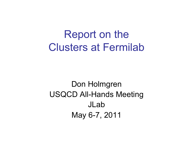## Report on the Clusters at Fermilab

#### Don Holmgren USQCD All-Hands Meeting JLab May 6-7, 2011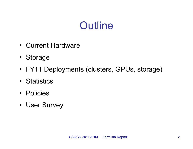# **Outline**

- Current Hardware
- Storage
- FY11 Deployments (clusters, GPUs, storage)
- Statistics
- Policies
- User Survey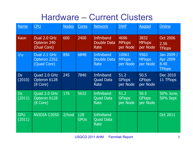### Hardware – Current Clusters

| <b>Name</b>          | <b>CPU</b>                                         | <b>Nodes</b> | Cores              | <b>Network</b>                                  | <b>DWF</b>                         | <b>Asgtad</b>                     | Online                                                 |
|----------------------|----------------------------------------------------|--------------|--------------------|-------------------------------------------------|------------------------------------|-----------------------------------|--------------------------------------------------------|
| Kaon                 | Dual 2.0 GHz<br>Opteron 240<br>(Dual Core)         | 600          | 2400               | Infiniband<br><b>Double Data</b><br>Rate        | 4696<br><b>MFlops</b><br>per Node  | 3832<br><b>MFlops</b><br>per Node | <b>Oct 2006</b><br>2.56<br><b>TFlops</b>               |
| $J/\psi$             | Dual 2.1 GHz<br>Opteron 2352<br>(Quad Core)        | 856          | 6848               | <b>Infiniband</b><br><b>Double Data</b><br>Rate | 10061<br><b>MFlops</b><br>per Node | 9563<br><b>MFlops</b><br>per Node | Jan 2009 /<br><b>Apr 2009</b><br>8.40<br><b>TFlops</b> |
| <b>Ds</b><br>(2010)  | Quad 2.0 GHz<br>Opteron 6128<br>$(8 \text{ Core})$ | 245          | 7840               | <b>Infiniband</b><br><b>Quad Data</b><br>Rate   | 51.2<br><b>GFlops</b><br>per Node  | 50.5<br><b>GFlops</b><br>per Node | Dec 2010<br>11 TFlops                                  |
| <b>Ds</b><br>(2011)  | Quad 2.0 GHz<br>Opteron 6128<br>$(8 \text{ Core})$ | 176          | 5632               | Infiniband<br><b>Quad Data</b><br>Rate          | 51.2<br><b>GFlops</b><br>per Node  | 50.5<br><b>GFlops</b><br>per Node | 50% June,<br><b>50% Sept</b>                           |
| <b>GPU</b><br>(2011) | <b>NVIDIA C2050</b>                                | 2/host       | 128<br><b>GPUs</b> | <b>Infiniband</b><br><b>Quad Data</b><br>Rate   |                                    |                                   | <b>Oct 2011</b>                                        |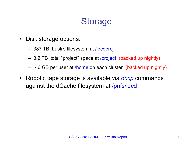### **Storage**

- Disk storage options:
	- 387 TB Lustre filesystem at /lqcdproj
	- 3.2 TB total "project" space at /project (backed up nightly)
	- $\sim$  6 GB per user at /home on each cluster (backed up nightly)
- Robotic tape storage is available via *dccp* commands against the dCache filesystem at /pnfs/lqcd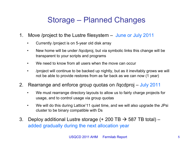#### Storage – Planned Changes

- 1. Move /project to the Lustre filesystem June or July 2011
	- Currently /project is on 5-year old disk array
	- New home will be under /lqcdproj, but via symbolic links this change will be transparent to your scripts and programs
	- We need to know from all users when the move can occur
	- /project will continue to be backed up nightly, but as it inevitably grows we will not be able to provide restores from as far back as we can now (1 year)
- 2. Rearrange and enforce group quotas on /lqcdproj July 2011
	- We must rearrange directory layouts to allow us to fairly charge projects for usage, and to control usage via group quotas
	- We will do this during Lattice'11 quiet time, and we will also upgrade the JPsi cluster to be binary compatible with Ds
- 3. Deploy additional Lustre storage  $(+ 200 \text{ TB} \rightarrow 587 \text{ TB}$  total) added gradually during the next allocation year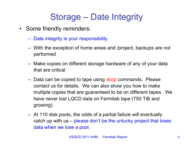### Storage – Date Integrity

- Some friendly reminders:
	- Data integrity is your responsibility
	- With the exception of home areas and /project, backups are not performed
	- Make copies on different storage hardware of any of your data that are critical
	- Data can be copied to tape using dccp commands. Please contact us for details. We can also show you how to make multiple copies that are guaranteed to be on different tapes. We have never lost LQCD data on Fermilab tape (750 TiB and growing).
	- At 110 disk pools, the odds of a partial failure will eventually catch up with us – please don't be the unlucky project that loses data when we lose a pool.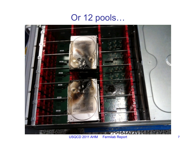### Or 12 pools…



USQCD 2011 AHM Fermilab Report 7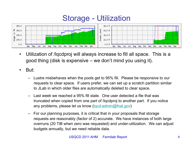#### Storage - Utilization



- Utilization of /lqcdproj will always increase to fill all space. This is a good thing (disk is expensive – we don't mind you using it).
- But:
	- Lustre misbehaves when the pools get to 95% fill. Please be responsive to our requests to clear space. If users prefer, we can set up a scratch partition similar to JLab in which older files are automatically deleted to clear space.
	- Last week we reached a 95% fill state. One user detected a file that was truncated when copied from one part of /lqcdproj to another part. If you notice any problems, please let us know (lqcd-admin@fnal.gov)
	- For our planning purposes, it is critical that in your proposals that storage requests are reasonably (factor of 2) accurate. We have instances of both large overruns (20 TiB when zero was requested) and under-utilization. We can adjust budgets annually, but we need reliable data.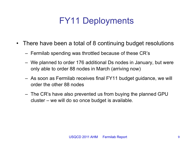## FY11 Deployments

- There have been a total of 8 continuing budget resolutions
	- Fermilab spending was throttled because of these CR's
	- We planned to order 176 additional Ds nodes in January, but were only able to order 88 nodes in March (arriving now)
	- As soon as Fermilab receives final FY11 budget guidance, we will order the other 88 nodes
	- The CR's have also prevented us from buying the planned GPU cluster – we will do so once budget is available.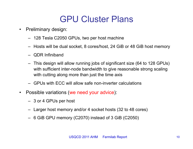### GPU Cluster Plans

- Preliminary design:
	- 128 Tesla C2050 GPUs, two per host machine
	- Hosts will be dual socket, 8 cores/host, 24 GiB or 48 GiB host memory
	- QDR Infiniband
	- This design will allow running jobs of significant size (64 to 128 GPUs) with sufficient inter-node bandwidth to give reasonable strong scaling with cutting along more than just the time axis
	- GPUs with ECC will allow safe non-inverter calculations
- Possible variations (we need your advice):
	- 3 or 4 GPUs per host
	- Larger host memory and/or 4 socket hosts (32 to 48 cores)
	- 6 GiB GPU memory (C2070) instead of 3 GiB (C2050)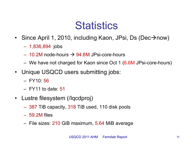# **Statistics**

- Since April 1, 2010, including Kaon, JPsi, Ds (Dec $\rightarrow$ now)
	- 1,836,894 jobs
	- $-$  10.2M node-hours  $\rightarrow$  94.8M JPsi-core-hours
	- We have not charged for Kaon since Oct 1 (6.6M JPsi-core-hours)
- Unique USQCD users submitting jobs:
	- $-$  FY10: 56
	- $-$  FY11 to date: 51
- Lustre filesystem (/lqcdproj)
	- 387 TiB capacity, 318 TiB used, 110 disk pools
	- 59.2M files
	- File sizes: 210 GiB maximum, 5.64 MiB average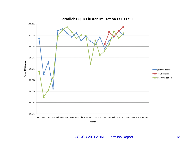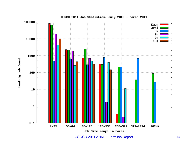

USQCD 2011 Job Statistics, July 2010 - March 2011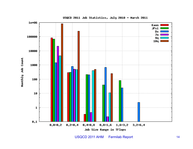

USQCD 2011 Job Statistics, July 2010 - March 2011

USQCD 2011 AHM Fermilab Report 14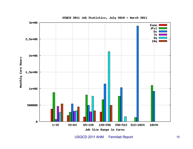

USQCD 2011 Job Statistics, July 2010 - March 2011

USQCD 2011 AHM Fermilab Report 15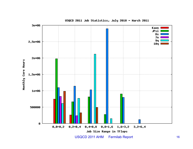

USQCD 2011 Job Statistics, July 2010 - March 2011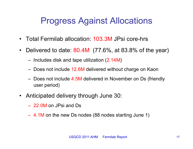#### Progress Against Allocations

- Total Fermilab allocation: 103.3M JPsi core-hrs
- Delivered to date: 80.4M (77.6%, at 83.8% of the year)
	- Includes disk and tape utilization (2.14M)
	- Does not include 12.6M delivered without charge on Kaon
	- Does not include 4.5M delivered in November on Ds (friendly user period)
- Anticipated delivery through June 30:
	- 22.0M on JPsi and Ds
	- 4.1M on the new Ds nodes (88 nodes starting June 1)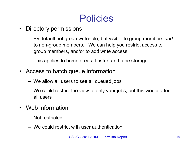## Policies

- Directory permissions
	- By default not group writeable, but visible to group members *and*  to non-group members. We can help you restrict access to group members, and/or to add write access.
	- This applies to home areas, Lustre, and tape storage
- Access to batch queue information
	- We allow all users to see all queued jobs
	- We could restrict the view to only your jobs, but this would affect all users
- Web information
	- Not restricted
	- We could restrict with user authentication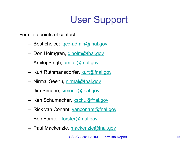# User Support

Fermilab points of contact:

- Best choice: <u>lgcd-admin@fnal.gov</u>
- Don Holmgren, djholm@fnal.gov
- Amitoj Singh, amitoj@fnal.gov
- Kurt Ruthmansdorfer, kurt@fnal.gov
- Nirmal Seenu, nirmal@fnal.gov
- Jim Simone, simone@fnal.gov
- Ken Schumacher, kschu@fnal.gov
- Rick van Conant, vanconant@fnal.gov
- Bob Forster, forster@fnal.gov
- Paul Mackenzie, mackenzie@fnal.gov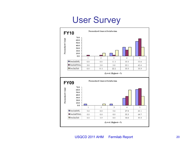### User Survey